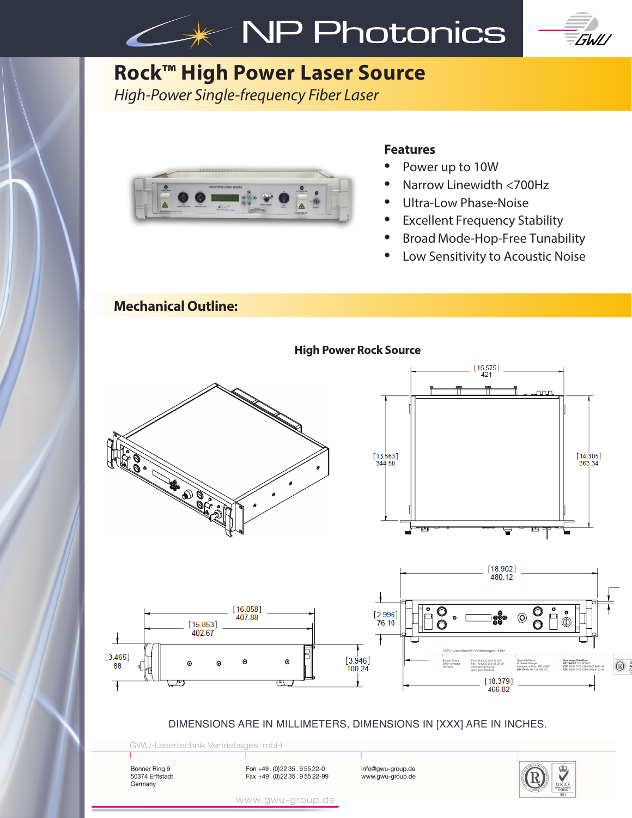



# **Rock™ High Power Laser Source**

*High-Power Single-frequency Fiber Laser* 



### **Features**

- Power up to 10W
- Narrow Linewidth <700Hz
- Ultra-Low Phase-Noise
- **Excellent Frequency Stability**
- Broad Mode-Hop-Free Tunability
- Low Sensitivity to Acoustic Noise

## **Mechanical Outline:**



#### DIMENSIONS ARE IN MILLIMETERS, DIMENSIONS IN [XXX] ARE IN INCHES.

GWU-Lasertechnik Vertriebsges. mbH

Bonner Ring 9 50374 Erftstadt Germany

Fon +49 . (0)22 35 . 9 55 22-0 **https://example.org/innovation**<br>Fax +49 . (0)22 35 . 9 55 22-99 www.gwu-group.de



www.gwu-group.de